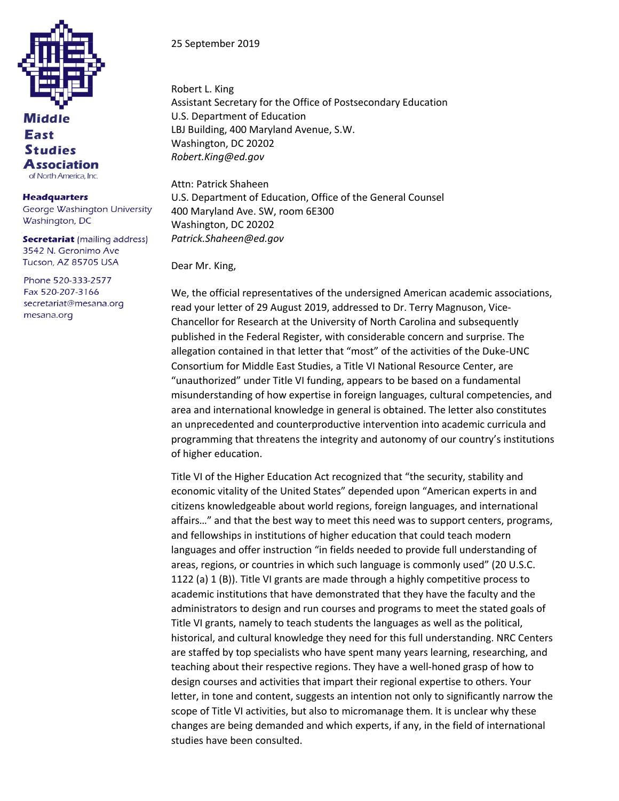

## Middle **East Studies Association** of North America, Inc.

**Headquarters** George Washington University Washington, DC

**Secretariat** (mailing address) 3542 N. Geronimo Ave Tucson, AZ 85705 USA

Phone 520-333-2577 Fax 520-207-3166 secretariat@mesana.org mesana.org

25 September 2019

Robert L. King Assistant Secretary for the Office of Postsecondary Education U.S. Department of Education LBJ Building, 400 Maryland Avenue, S.W. Washington, DC 20202 *Robert.King@ed.gov*

Attn: Patrick Shaheen U.S. Department of Education, Office of the General Counsel 400 Maryland Ave. SW, room 6E300 Washington, DC 20202 *Patrick.Shaheen@ed.gov*

Dear Mr. King,

We, the official representatives of the undersigned American academic associations, read your letter of 29 August 2019, addressed to Dr. Terry Magnuson, Vice-Chancellor for Research at the University of North Carolina and subsequently published in the Federal Register, with considerable concern and surprise. The allegation contained in that letter that "most" of the activities of the Duke-UNC Consortium for Middle East Studies, a Title VI National Resource Center, are "unauthorized" under Title VI funding, appears to be based on a fundamental misunderstanding of how expertise in foreign languages, cultural competencies, and area and international knowledge in general is obtained. The letter also constitutes an unprecedented and counterproductive intervention into academic curricula and programming that threatens the integrity and autonomy of our country's institutions of higher education.

Title VI of the Higher Education Act recognized that "the security, stability and economic vitality of the United States" depended upon "American experts in and citizens knowledgeable about world regions, foreign languages, and international affairs…" and that the best way to meet this need was to support centers, programs, and fellowships in institutions of higher education that could teach modern languages and offer instruction "in fields needed to provide full understanding of areas, regions, or countries in which such language is commonly used" (20 U.S.C. 1122 (a) 1 (B)). Title VI grants are made through a highly competitive process to academic institutions that have demonstrated that they have the faculty and the administrators to design and run courses and programs to meet the stated goals of Title VI grants, namely to teach students the languages as well as the political, historical, and cultural knowledge they need for this full understanding. NRC Centers are staffed by top specialists who have spent many years learning, researching, and teaching about their respective regions. They have a well-honed grasp of how to design courses and activities that impart their regional expertise to others. Your letter, in tone and content, suggests an intention not only to significantly narrow the scope of Title VI activities, but also to micromanage them. It is unclear why these changes are being demanded and which experts, if any, in the field of international studies have been consulted.